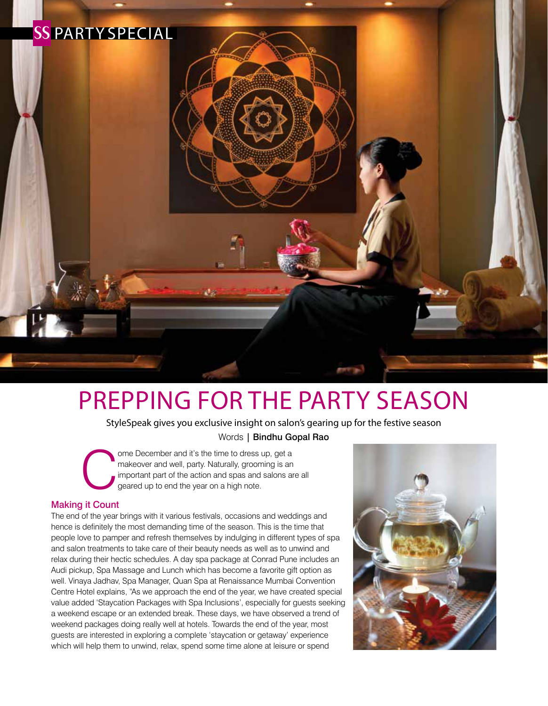

# Prepping for the Party Season

StyleSpeak gives you exclusive insight on salon's gearing up for the festive season Words | Bindhu Gopal Rao

Ome December and it's the time to dress up, get a<br>makeover and well, party. Naturally, grooming is an<br>important part of the action and spas and salons are<br>geared up to end the year on a high note. makeover and well, party. Naturally, grooming is an important part of the action and spas and salons are all geared up to end the year on a high note.

#### Making it Count

The end of the year brings with it various festivals, occasions and weddings and hence is definitely the most demanding time of the season. This is the time that people love to pamper and refresh themselves by indulging in different types of spa and salon treatments to take care of their beauty needs as well as to unwind and relax during their hectic schedules. A day spa package at Conrad Pune includes an Audi pickup, Spa Massage and Lunch which has become a favorite gift option as well. Vinaya Jadhav, Spa Manager, Quan Spa at Renaissance Mumbai Convention Centre Hotel explains, "As we approach the end of the year, we have created special value added 'Staycation Packages with Spa Inclusions', especially for guests seeking a weekend escape or an extended break. These days, we have observed a trend of weekend packages doing really well at hotels. Towards the end of the year, most guests are interested in exploring a complete 'staycation or getaway' experience which will help them to unwind, relax, spend some time alone at leisure or spend